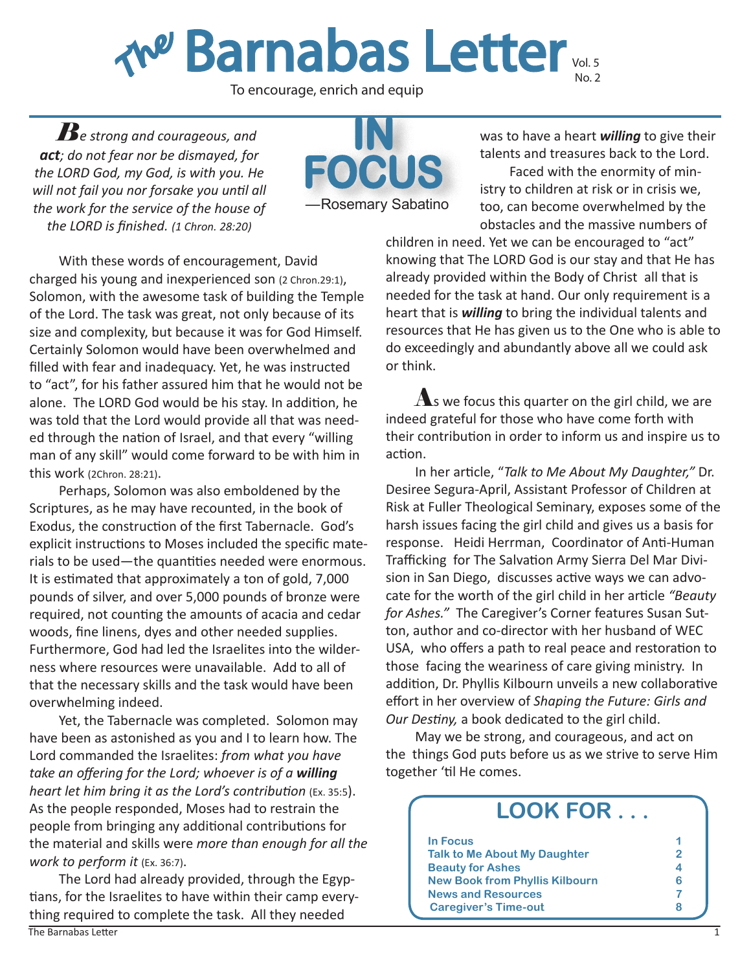**The Barnabas Letter vol. 5** 

To encourage, enrich and equip

*Be strong and courageous, and act; do not fear nor be dismayed, for the LORD God, my God, is with you. He will not fail you nor forsake you until all the work for the service of the house of the LORD is finished. (1 Chron. 28:20)*



With these words of encouragement, David charged his young and inexperienced son (2 Chron.29:1), Solomon, with the awesome task of building the Temple of the Lord. The task was great, not only because of its size and complexity, but because it was for God Himself. Certainly Solomon would have been overwhelmed and filled with fear and inadequacy. Yet, he was instructed to "act", for his father assured him that he would not be alone. The LORD God would be his stay. In addition, he was told that the Lord would provide all that was needed through the nation of Israel, and that every "willing man of any skill" would come forward to be with him in this work (2Chron. 28:21).

Perhaps, Solomon was also emboldened by the Scriptures, as he may have recounted, in the book of Exodus, the construction of the first Tabernacle. God's explicit instructions to Moses included the specific materials to be used—the quantities needed were enormous. It is estimated that approximately a ton of gold, 7,000 pounds of silver, and over 5,000 pounds of bronze were required, not counting the amounts of acacia and cedar woods, fine linens, dyes and other needed supplies. Furthermore, God had led the Israelites into the wilderness where resources were unavailable. Add to all of that the necessary skills and the task would have been overwhelming indeed.

Yet, the Tabernacle was completed. Solomon may have been as astonished as you and I to learn how. The Lord commanded the Israelites: *from what you have take an offering for the Lord; whoever is of a willing heart let him bring it as the Lord's contribution* (Ex. 35:5). As the people responded, Moses had to restrain the people from bringing any additional contributions for the material and skills were *more than enough for all the work to perform it* (Ex. 36:7).

The Lord had already provided, through the Egyptians, for the Israelites to have within their camp everything required to complete the task. All they needed

was to have a heart *willing* to give their talents and treasures back to the Lord.

Faced with the enormity of ministry to children at risk or in crisis we, too, can become overwhelmed by the obstacles and the massive numbers of

children in need. Yet we can be encouraged to "act" knowing that The LORD God is our stay and that He has already provided within the Body of Christ all that is needed for the task at hand. Our only requirement is a heart that is *willing* to bring the individual talents and resources that He has given us to the One who is able to do exceedingly and abundantly above all we could ask or think.

 $\Lambda$ s we focus this quarter on the girl child, we are indeed grateful for those who have come forth with their contribution in order to inform us and inspire us to action.

In her article, "*Talk to Me About My Daughter,"* Dr. Desiree Segura-April, Assistant Professor of Children at Risk at Fuller Theological Seminary, exposes some of the harsh issues facing the girl child and gives us a basis for response. Heidi Herrman, Coordinator of Anti-Human Trafficking for The Salvation Army Sierra Del Mar Division in San Diego, discusses active ways we can advocate for the worth of the girl child in her article *"Beauty for Ashes."* The Caregiver's Corner features Susan Sutton, author and co-director with her husband of WEC USA, who offers a path to real peace and restoration to those facing the weariness of care giving ministry. In addition, Dr. Phyllis Kilbourn unveils a new collaborative effort in her overview of *Shaping the Future: Girls and Our Destiny,* a book dedicated to the girl child.

May we be strong, and courageous, and act on the things God puts before us as we strive to serve Him together 'til He comes.

| <b>LOOK FOR</b>                       |   |
|---------------------------------------|---|
| <b>In Focus</b>                       |   |
| <b>Talk to Me About My Daughter</b>   | 2 |
| <b>Beauty for Ashes</b>               |   |
| <b>New Book from Phyllis Kilbourn</b> |   |
| <b>News and Resources</b>             |   |
| <b>Caregiver's Time-out</b>           | 8 |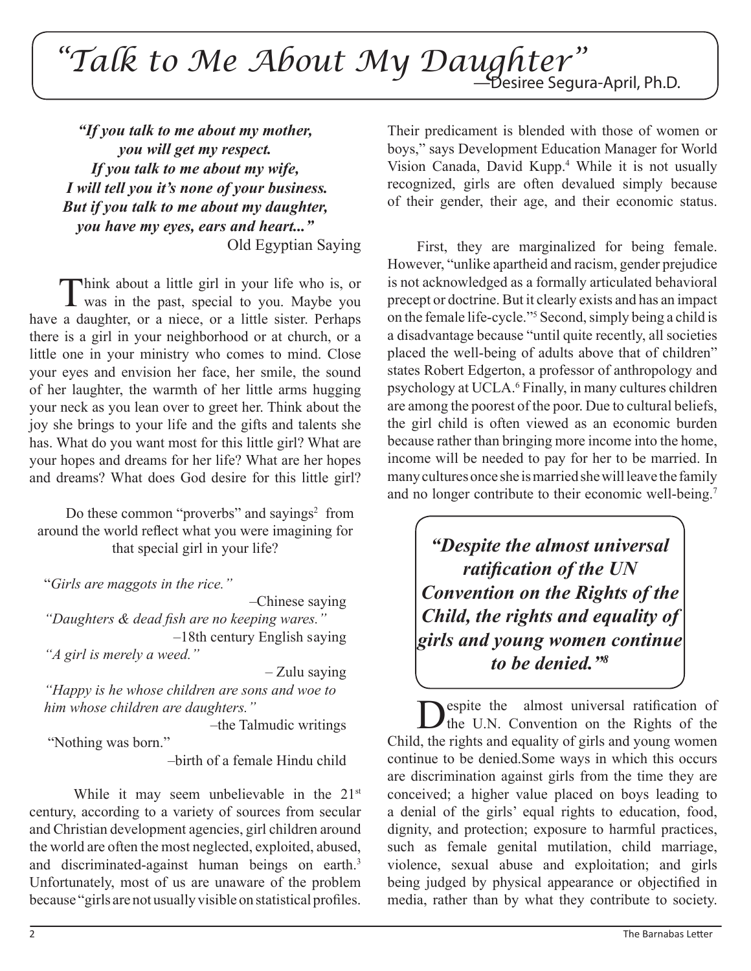## *"Talk to Me About My Daughter"* —Desiree Segura-April, Ph.D.

*"If you talk to me about my mother, you will get my respect. If you talk to me about my wife, I will tell you it's none of your business. But if you talk to me about my daughter, you have my eyes, ears and heart..."*  Old Egyptian Saying

Think about a little girl in your life who is, or was in the past, special to you. Maybe you have a daughter, or a niece, or a little sister. Perhaps there is a girl in your neighborhood or at church, or a little one in your ministry who comes to mind. Close your eyes and envision her face, her smile, the sound of her laughter, the warmth of her little arms hugging your neck as you lean over to greet her. Think about the joy she brings to your life and the gifts and talents she has. What do you want most for this little girl? What are your hopes and dreams for her life? What are her hopes and dreams? What does God desire for this little girl?

Do these common "proverbs" and sayings<sup>2</sup> from around the world reflect what you were imagining for that special girl in your life?

"*Girls are maggots in the rice."*

–Chinese saying

*"Daughters & dead fish are no keeping wares."*  –18th century English saying *"A girl is merely a weed."*

– Zulu saying

*"Happy is he whose children are sons and woe to him whose children are daughters."*

 –the Talmudic writings "Nothing was born."

–birth of a female Hindu child

While it may seem unbelievable in the 21<sup>st</sup> century, according to a variety of sources from secular and Christian development agencies, girl children around the world are often the most neglected, exploited, abused, and discriminated-against human beings on earth.<sup>3</sup> Unfortunately, most of us are unaware of the problem because "girls are not usually visible on statistical profiles.

Their predicament is blended with those of women or boys," says Development Education Manager for World Vision Canada, David Kupp.4 While it is not usually recognized, girls are often devalued simply because of their gender, their age, and their economic status.

First, they are marginalized for being female. However, "unlike apartheid and racism, gender prejudice is not acknowledged as a formally articulated behavioral precept or doctrine. But it clearly exists and has an impact on the female life-cycle."5 Second, simply being a child is a disadvantage because "until quite recently, all societies placed the well-being of adults above that of children" states Robert Edgerton, a professor of anthropology and psychology at UCLA.<sup>6</sup> Finally, in many cultures children are among the poorest of the poor. Due to cultural beliefs, the girl child is often viewed as an economic burden because rather than bringing more income into the home, income will be needed to pay for her to be married. In many cultures once she is married she will leave the family and no longer contribute to their economic well-being.7

*"Despite the almost universal ratification of the UN Convention on the Rights of the Child, the rights and equality of girls and young women continue to be denied."8*

Despite the almost universal ratification of<br>the U.N. Convention on the Rights of the Child, the rights and equality of girls and young women continue to be denied.Some ways in which this occurs are discrimination against girls from the time they are conceived; a higher value placed on boys leading to a denial of the girls' equal rights to education, food, dignity, and protection; exposure to harmful practices, such as female genital mutilation, child marriage, violence, sexual abuse and exploitation; and girls being judged by physical appearance or objectified in media, rather than by what they contribute to society.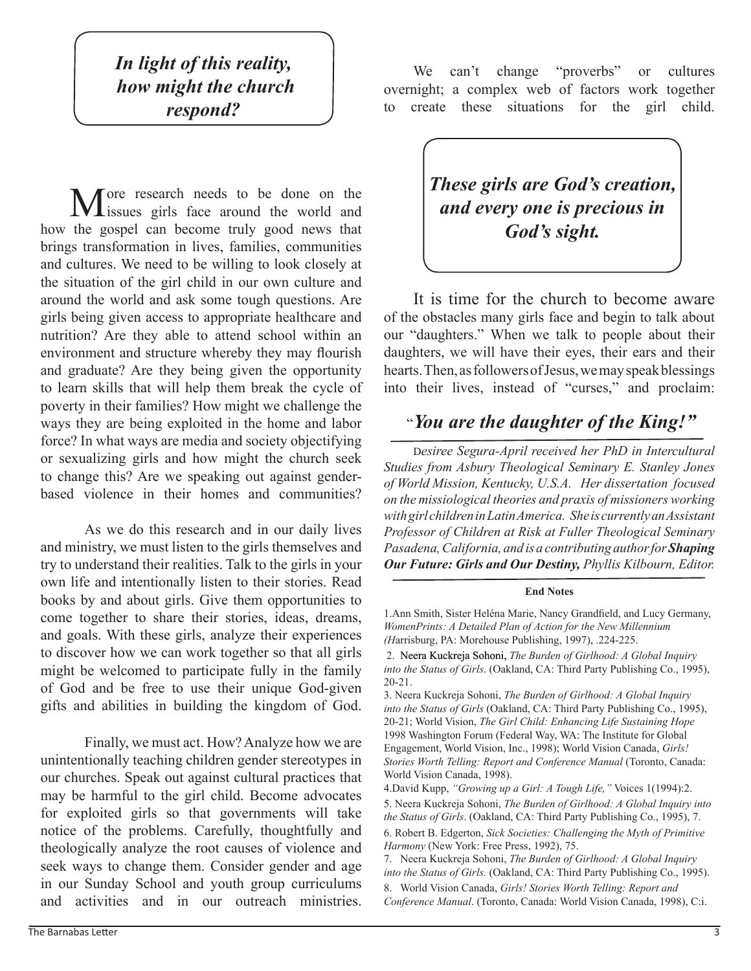*In light of this reality, how might the church respond?*

More research needs to be done on the sissues girls face around the world and how the gospel can become truly good news that brings transformation in lives, families, communities and cultures. We need to be willing to look closely at the situation of the girl child in our own culture and around the world and ask some tough questions. Are girls being given access to appropriate healthcare and nutrition? Are they able to attend school within an environment and structure whereby they may flourish and graduate? Are they being given the opportunity to learn skills that will help them break the cycle of poverty in their families? How might we challenge the ways they are being exploited in the home and labor force? In what ways are media and society objectifying or sexualizing girls and how might the church seek to change this? Are we speaking out against genderbased violence in their homes and communities?

As we do this research and in our daily lives and ministry, we must listen to the girls themselves and try to understand their realities. Talk to the girls in your own life and intentionally listen to their stories. Read books by and about girls. Give them opportunities to come together to share their stories, ideas, dreams, and goals. With these girls, analyze their experiences to discover how we can work together so that all girls might be welcomed to participate fully in the family of God and be free to use their unique God-given gifts and abilities in building the kingdom of God.

Finally, we must act. How? Analyze how we are unintentionally teaching children gender stereotypes in our churches. Speak out against cultural practices that may be harmful to the girl child. Become advocates for exploited girls so that governments will take notice of the problems. Carefully, thoughtfully and theologically analyze the root causes of violence and seek ways to change them. Consider gender and age in our Sunday School and youth group curriculums and activities and in our outreach ministries.

We can't change "proverbs" or cultures overnight; a complex web of factors work together to create these situations for the girl child.

## *These girls are God's creation, and every one is precious in God's sight.*

It is time for the church to become aware of the obstacles many girls face and begin to talk about our "daughters." When we talk to people about their daughters, we will have their eyes, their ears and their hearts. Then, as followers of Jesus, we may speak blessings into their lives, instead of "curses," and proclaim:

## "*You are the daughter of the King!"*

D*esiree Segura-April received her PhD in Intercultural Studies from Asbury Theological Seminary E. Stanley Jones of World Mission, Kentucky, U.S.A. Her dissertation focused on the missiological theories and praxis of missioners working with girl children in Latin America. She is currently an Assistant Professor of Children at Risk at Fuller Theological Seminary Pasadena, California, and is a contributing author for Shaping Our Future: Girls and Our Destiny, Phyllis Kilbourn, Editor.*

#### **End Notes**

1.Ann Smith, Sister Heléna Marie, Nancy Grandfield, and Lucy Germany, *WomenPrints: A Detailed Plan of Action for the New Millennium (H*arrisburg, PA: Morehouse Publishing, 1997), .224-225.

 2. Neera Kuckreja Sohoni, *The Burden of Girlhood: A Global Inquiry into the Status of Girls*. (Oakland, CA: Third Party Publishing Co., 1995), 20-21.

3. Neera Kuckreja Sohoni, *The Burden of Girlhood: A Global Inquiry into the Status of Girls* (Oakland, CA: Third Party Publishing Co., 1995), 20-21; World Vision, *The Girl Child: Enhancing Life Sustaining Hope*  1998 Washington Forum (Federal Way, WA: The Institute for Global Engagement, World Vision, Inc., 1998); World Vision Canada, *Girls! Stories Worth Telling: Report and Conference Manual* (Toronto, Canada: World Vision Canada, 1998).

4.David Kupp, *"Growing up a Girl: A Tough Life,"* Voices 1(1994):2.

5. Neera Kuckreja Sohoni, *The Burden of Girlhood: A Global Inquiry into the Status of Girls*. (Oakland, CA: Third Party Publishing Co., 1995), 7.

6. Robert B. Edgerton, *Sick Societies: Challenging the Myth of Primitive Harmony* (New York: Free Press, 1992), 75.

7. Neera Kuckreja Sohoni, *The Burden of Girlhood: A Global Inquiry into the Status of Girls.* (Oakland, CA: Third Party Publishing Co., 1995). 8. World Vision Canada, *Girls! Stories Worth Telling: Report and Conference Manual*. (Toronto, Canada: World Vision Canada, 1998), C:i.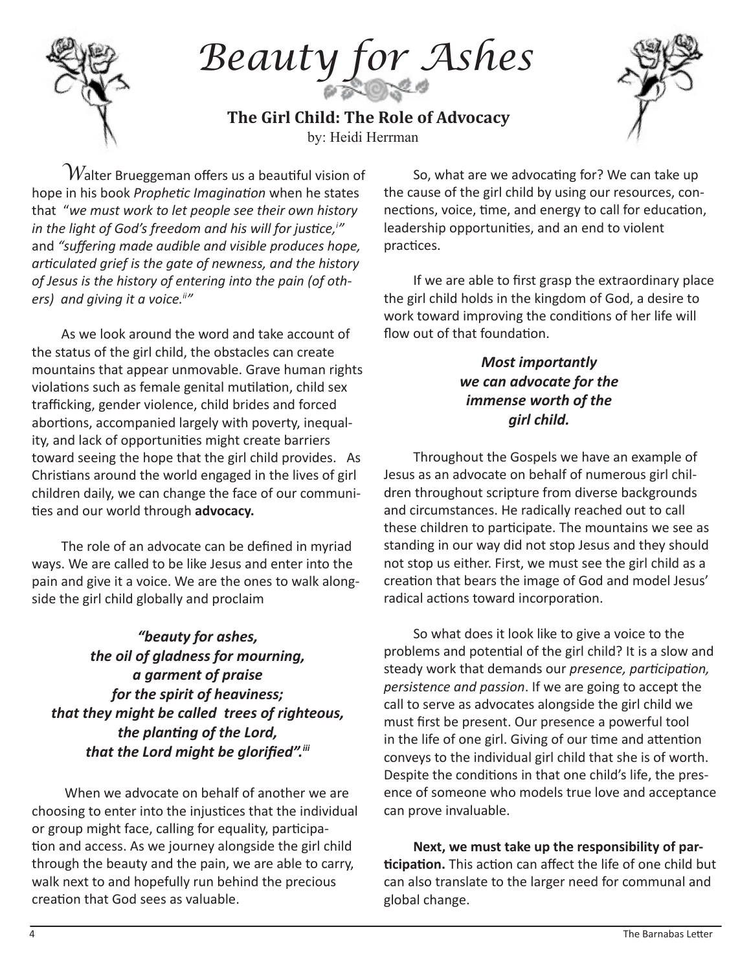

*Beauty for Ashes*

by: Heidi Herrman **The Girl Child: The Role of Advocacy**



 $\hat{a}$  Walter Brueggeman offers us a beautiful vision of hope in his book *Prophetic Imagination* when he states that "*we must work to let people see their own history in the light of God's freedom and his will for justice,<sup>i</sup> "*  and *"suffering made audible and visible produces hope, articulated grief is the gate of newness, and the history of Jesus is the history of entering into the pain (of oth*ers) and giving it a voice.<sup>ii''</sup>

As we look around the word and take account of the status of the girl child, the obstacles can create mountains that appear unmovable. Grave human rights violations such as female genital mutilation, child sex trafficking, gender violence, child brides and forced abortions, accompanied largely with poverty, inequality, and lack of opportunities might create barriers toward seeing the hope that the girl child provides. As Christians around the world engaged in the lives of girl children daily, we can change the face of our communities and our world through **advocacy.** 

The role of an advocate can be defined in myriad ways. We are called to be like Jesus and enter into the pain and give it a voice. We are the ones to walk alongside the girl child globally and proclaim

*"beauty for ashes, the oil of gladness for mourning, a garment of praise for the spirit of heaviness; that they might be called trees of righteous, the planting of the Lord, that the Lord might be glorified".iii*

 When we advocate on behalf of another we are choosing to enter into the injustices that the individual or group might face, calling for equality, participation and access. As we journey alongside the girl child through the beauty and the pain, we are able to carry, walk next to and hopefully run behind the precious creation that God sees as valuable.

So, what are we advocating for? We can take up the cause of the girl child by using our resources, connections, voice, time, and energy to call for education, leadership opportunities, and an end to violent practices.

If we are able to first grasp the extraordinary place the girl child holds in the kingdom of God, a desire to work toward improving the conditions of her life will flow out of that foundation.

### *Most importantly we can advocate for the immense worth of the girl child.*

Throughout the Gospels we have an example of Jesus as an advocate on behalf of numerous girl children throughout scripture from diverse backgrounds and circumstances. He radically reached out to call these children to participate. The mountains we see as standing in our way did not stop Jesus and they should not stop us either. First, we must see the girl child as a creation that bears the image of God and model Jesus' radical actions toward incorporation.

So what does it look like to give a voice to the problems and potential of the girl child? It is a slow and steady work that demands our *presence, participation, persistence and passion*. If we are going to accept the call to serve as advocates alongside the girl child we must first be present. Our presence a powerful tool in the life of one girl. Giving of our time and attention conveys to the individual girl child that she is of worth. Despite the conditions in that one child's life, the presence of someone who models true love and acceptance can prove invaluable.

**Next, we must take up the responsibility of participation.** This action can affect the life of one child but can also translate to the larger need for communal and global change.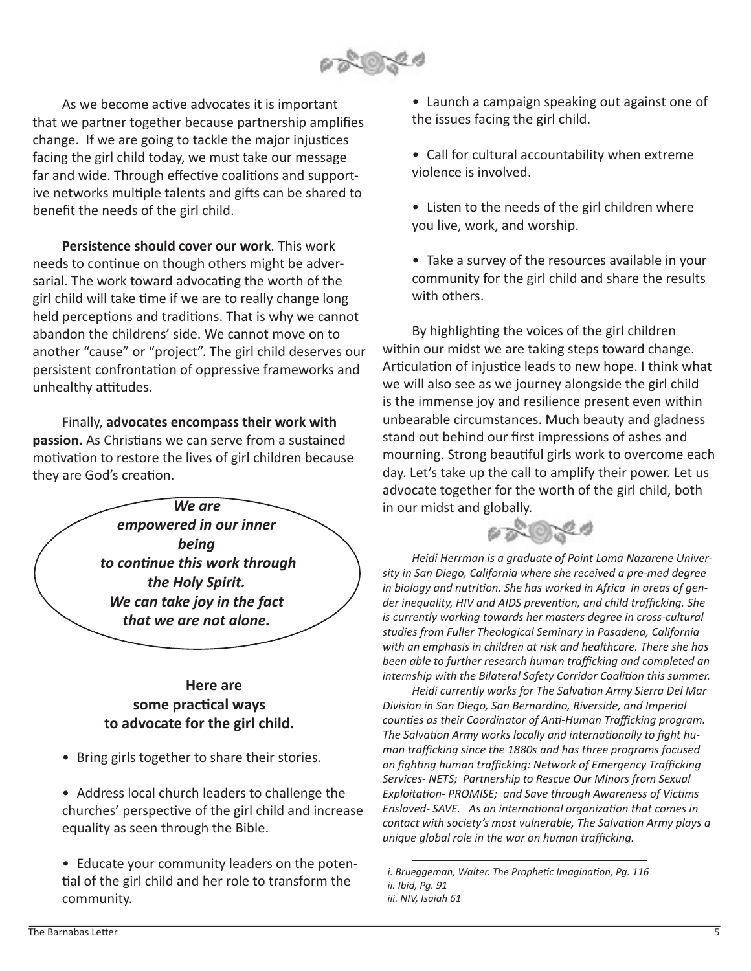

As we become active advocates it is important that we partner together because partnership amplifies change. If we are going to tackle the major injustices facing the girl child today, we must take our message far and wide. Through effective coalitions and supportive networks multiple talents and gifts can be shared to benefit the needs of the girl child.

**Persistence should cover our work**. This work needs to continue on though others might be adversarial. The work toward advocating the worth of the girl child will take time if we are to really change long held perceptions and traditions. That is why we cannot abandon the childrens' side. We cannot move on to another "cause" or "project". The girl child deserves our persistent confrontation of oppressive frameworks and unhealthy attitudes.

Finally, **advocates encompass their work with passion.** As Christians we can serve from a sustained motivation to restore the lives of girl children because they are God's creation.

*We are empowered in our inner being to continue this work through the Holy Spirit. We can take joy in the fact that we are not alone.*

### **Here are some practical ways to advocate for the girl child.**

- Bring girls together to share their stories.
- Address local church leaders to challenge the churches' perspective of the girl child and increase equality as seen through the Bible.

• Educate your community leaders on the potential of the girl child and her role to transform the community.

• Launch a campaign speaking out against one of the issues facing the girl child.

- Call for cultural accountability when extreme violence is involved.
- Listen to the needs of the girl children where you live, work, and worship.
- Take a survey of the resources available in your community for the girl child and share the results with others.

By highlighting the voices of the girl children within our midst we are taking steps toward change. Articulation of injustice leads to new hope. I think what we will also see as we journey alongside the girl child is the immense joy and resilience present even within unbearable circumstances. Much beauty and gladness stand out behind our first impressions of ashes and mourning. Strong beautiful girls work to overcome each day. Let's take up the call to amplify their power. Let us advocate together for the worth of the girl child, both in our midst and globally.



*Heidi Herrman is a graduate of Point Loma Nazarene University in San Diego, California where she received a pre-med degree in biology and nutrition. She has worked in Africa in areas of gender inequality, HIV and AIDS prevention, and child trafficking. She is currently working towards her masters degree in cross-cultural studies from Fuller Theological Seminary in Pasadena, California with an emphasis in children at risk and healthcare. There she has been able to further research human trafficking and completed an internship with the Bilateral Safety Corridor Coalition this summer.* 

*Heidi currently works for The Salvation Army Sierra Del Mar Division in San Diego, San Bernardino, Riverside, and Imperial counties as their Coordinator of Anti-Human Trafficking program. The Salvation Army works locally and internationally to fight human trafficking since the 1880s and has three programs focused on fighting human trafficking: Network of Emergency Trafficking Services- NETS; Partnership to Rescue Our Minors from Sexual Exploitation- PROMISE; and Save through Awareness of Victims Enslaved- SAVE. As an international organization that comes in contact with society's most vulnerable, The Salvation Army plays a unique global role in the war on human trafficking.*

 *i. Brueggeman, Walter. The Prophetic Imagination, Pg. 116 ii. Ibid, Pg. 91 iii. NIV, Isaiah 61*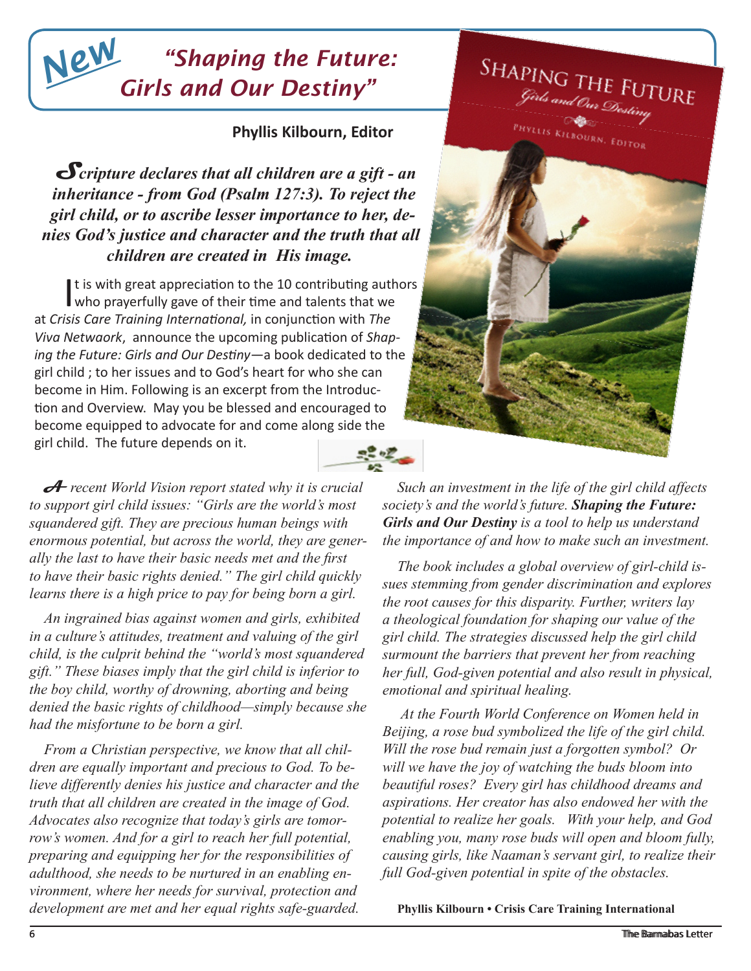## *"Shaping the Future: Girls and Our Destiny" New*

### **Phyllis Kilbourn, Editor**

**S***cripture declares that all children are a gift - an inheritance - from God (Psalm 127:3). To reject the girl child, or to ascribe lesser importance to her, denies God's justice and character and the truth that all children are created in His image.*

It is with great appreciation to the 10 contributing auth<br>who prayerfully gave of their time and talents that we It is with great appreciation to the 10 contributing authors at *Crisis Care Training International,* in conjunction with *The Viva Netwaork*, announce the upcoming publication of *Shaping the Future: Girls and Our Destiny—*a book dedicated to the girl child ; to her issues and to God's heart for who she can become in Him. Following is an excerpt from the Introduction and Overview. May you be blessed and encouraged to become equipped to advocate for and come along side the girl child. The future depends on it.  $\frac{1}{2}$ 

**A** *recent World Vision report stated why it is crucial to support girl child issues: "Girls are the world's most squandered gift. They are precious human beings with enormous potential, but across the world, they are generally the last to have their basic needs met and the first to have their basic rights denied." The girl child quickly learns there is a high price to pay for being born a girl.*

*An ingrained bias against women and girls, exhibited in a culture's attitudes, treatment and valuing of the girl child, is the culprit behind the "world's most squandered gift." These biases imply that the girl child is inferior to the boy child, worthy of drowning, aborting and being denied the basic rights of childhood—simply because she had the misfortune to be born a girl.*

*From a Christian perspective, we know that all children are equally important and precious to God. To believe differently denies his justice and character and the truth that all children are created in the image of God. Advocates also recognize that today's girls are tomorrow's women. And for a girl to reach her full potential, preparing and equipping her for the responsibilities of adulthood, she needs to be nurtured in an enabling environment, where her needs for survival, protection and development are met and her equal rights safe-guarded.* 



*Such an investment in the life of the girl child affects society's and the world's future. Shaping the Future: Girls and Our Destiny is a tool to help us understand the importance of and how to make such an investment.*

*The book includes a global overview of girl-child issues stemming from gender discrimination and explores the root causes for this disparity. Further, writers lay a theological foundation for shaping our value of the girl child. The strategies discussed help the girl child surmount the barriers that prevent her from reaching her full, God-given potential and also result in physical, emotional and spiritual healing.*

 *At the Fourth World Conference on Women held in Beijing, a rose bud symbolized the life of the girl child. Will the rose bud remain just a forgotten symbol? Or will we have the joy of watching the buds bloom into beautiful roses? Every girl has childhood dreams and aspirations. Her creator has also endowed her with the potential to realize her goals. With your help, and God enabling you, many rose buds will open and bloom fully, causing girls, like Naaman's servant girl, to realize their full God-given potential in spite of the obstacles.* 

**Phyllis Kilbourn • Crisis Care Training International**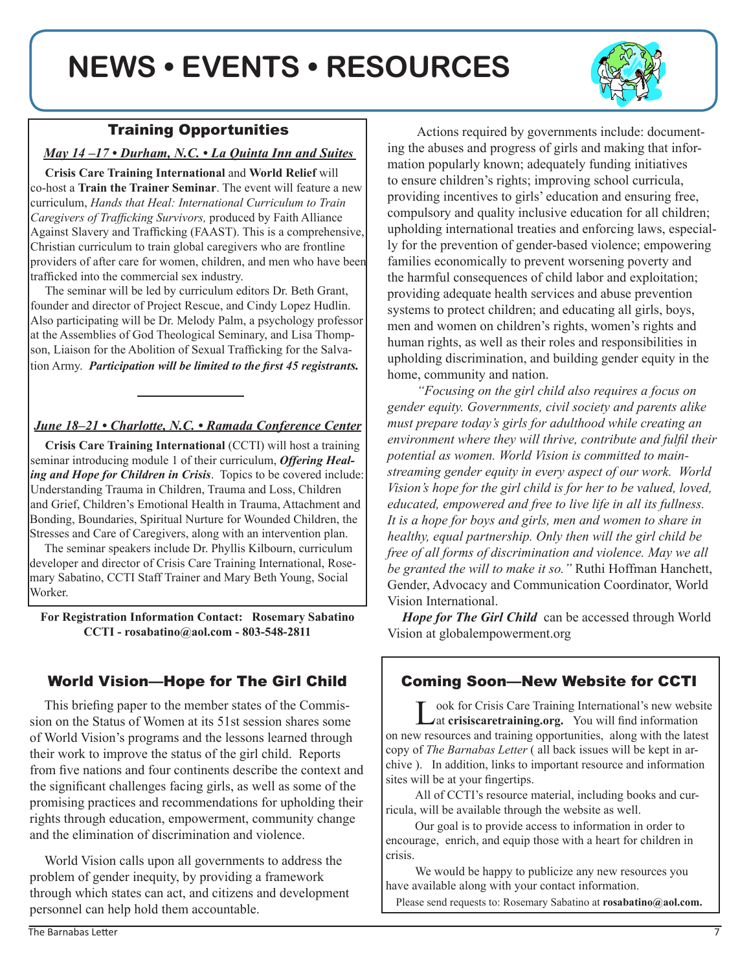## **NEWS • EVENTS • RESOURCES**



#### *May 14 –17 • Durham, N.C. • La Quinta Inn and Suites*

**Crisis Care Training International** and **World Relief** will co-host a **Train the Trainer Seminar**. The event will feature a new curriculum, *Hands that Heal: International Curriculum to Train Caregivers of Trafficking Survivors,* produced by Faith Alliance Against Slavery and Trafficking (FAAST). This is a comprehensive, Christian curriculum to train global caregivers who are frontline providers of after care for women, children, and men who have been trafficked into the commercial sex industry.

The seminar will be led by curriculum editors Dr. Beth Grant, founder and director of Project Rescue, and Cindy Lopez Hudlin. Also participating will be Dr. Melody Palm, a psychology professor at the Assemblies of God Theological Seminary, and Lisa Thompson, Liaison for the Abolition of Sexual Trafficking for the Salvation Army. *Participation will be limited to the first 45 registrants.*

### *June 18–21 • Charlotte, N.C. • Ramada Conference Center*

**Crisis Care Training International** (CCTI) will host a training seminar introducing module 1 of their curriculum, *Offering Healing and Hope for Children in Crisis*. Topics to be covered include: Understanding Trauma in Children, Trauma and Loss, Children and Grief, Children's Emotional Health in Trauma, Attachment and Bonding, Boundaries, Spiritual Nurture for Wounded Children, the Stresses and Care of Caregivers, along with an intervention plan.

The seminar speakers include Dr. Phyllis Kilbourn, curriculum developer and director of Crisis Care Training International, Rosemary Sabatino, CCTI Staff Trainer and Mary Beth Young, Social Worker.

**For Registration Information Contact: Rosemary Sabatino CCTI - rosabatino@aol.com - 803-548-2811**

### World Vision—Hope for The Girl Child

This briefing paper to the member states of the Commission on the Status of Women at its 51st session shares some of World Vision's programs and the lessons learned through their work to improve the status of the girl child. Reports from five nations and four continents describe the context and the significant challenges facing girls, as well as some of the promising practices and recommendations for upholding their rights through education, empowerment, community change and the elimination of discrimination and violence.

World Vision calls upon all governments to address the problem of gender inequity, by providing a framework through which states can act, and citizens and development personnel can help hold them accountable.

Actions required by governments include: documenting the abuses and progress of girls and making that information popularly known; adequately funding initiatives to ensure children's rights; improving school curricula, providing incentives to girls' education and ensuring free, compulsory and quality inclusive education for all children; upholding international treaties and enforcing laws, especially for the prevention of gender-based violence; empowering families economically to prevent worsening poverty and the harmful consequences of child labor and exploitation; providing adequate health services and abuse prevention systems to protect children; and educating all girls, boys, men and women on children's rights, women's rights and human rights, as well as their roles and responsibilities in upholding discrimination, and building gender equity in the home, community and nation.

*"Focusing on the girl child also requires a focus on gender equity. Governments, civil society and parents alike must prepare today's girls for adulthood while creating an environment where they will thrive, contribute and fulfil their potential as women. World Vision is committed to mainstreaming gender equity in every aspect of our work. World Vision's hope for the girl child is for her to be valued, loved, educated, empowered and free to live life in all its fullness. It is a hope for boys and girls, men and women to share in healthy, equal partnership. Only then will the girl child be free of all forms of discrimination and violence. May we all be granted the will to make it so."* Ruthi Hoffman Hanchett, Gender, Advocacy and Communication Coordinator, World Vision International.

*Hope for The Girl Child* can be accessed through World Vision at globalempowerment.org

### Coming Soon—New Website for CCTI

Look for Crisis Care Training International's new website at **crisiscaretraining.org.** You will find information on new resources and training opportunities, along with the latest copy of *The Barnabas Letter* ( all back issues will be kept in archive ). In addition, links to important resource and information sites will be at your fingertips.

All of CCTI's resource material, including books and curricula, will be available through the website as well.

Our goal is to provide access to information in order to encourage, enrich, and equip those with a heart for children in crisis.

We would be happy to publicize any new resources you have available along with your contact information.

Please send requests to: Rosemary Sabatino at **rosabatino@aol.com.**